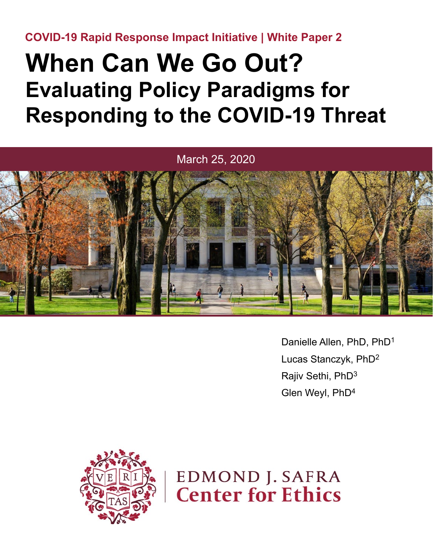**COVID-19 Rapid Response Impact Initiative | White Paper 2**

## **When Can We Go Out? Evaluating Policy Paradigms for Responding to the COVID-19 Threat**



Danielle Allen, PhD, PhD1 Lucas Stanczyk, PhD2 Rajiv Sethi, PhD3 Glen Weyl, PhD4



**EDMOND J. SAFRA Center for Ethics**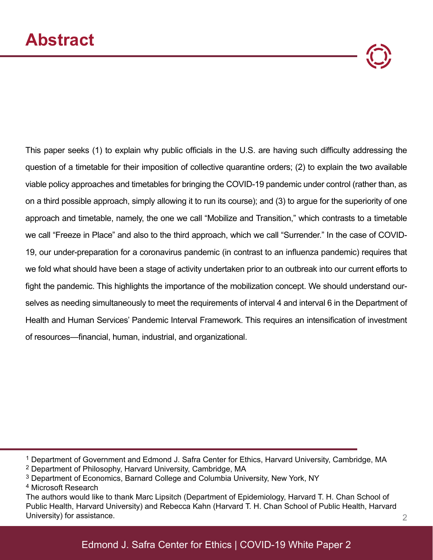This paper seeks (1) to explain why public officials in the U.S. are having such difficulty addressing the question of a timetable for their imposition of collective quarantine orders; (2) to explain the two available viable policy approaches and timetables for bringing the COVID-19 pandemic under control (rather than, as on a third possible approach, simply allowing it to run its course); and (3) to argue for the superiority of one approach and timetable, namely, the one we call "Mobilize and Transition," which contrasts to a timetable we call "Freeze in Place" and also to the third approach, which we call "Surrender." In the case of COVID-19, our under-preparation for a coronavirus pandemic (in contrast to an influenza pandemic) requires that we fold what should have been a stage of activity undertaken prior to an outbreak into our current efforts to fight the pandemic. This highlights the importance of the mobilization concept. We should understand ourselves as needing simultaneously to meet the requirements of interval 4 and interval 6 in the Department of Health and Human Services' Pandemic Interval Framework. This requires an intensification of investment of resources—financial, human, industrial, and organizational.

3 Department of Economics, Barnard College and Columbia University, New York, NY

<sup>1</sup> Department of Government and Edmond J. Safra Center for Ethics, Harvard University, Cambridge, MA 2 Department of Philosophy, Harvard University, Cambridge, MA

<sup>4</sup> Microsoft Research

The authors would like to thank Marc Lipsitch (Department of Epidemiology, Harvard T. H. Chan School of Public Health, Harvard University) and Rebecca Kahn (Harvard T. H. Chan School of Public Health, Harvard University) for assistance. 2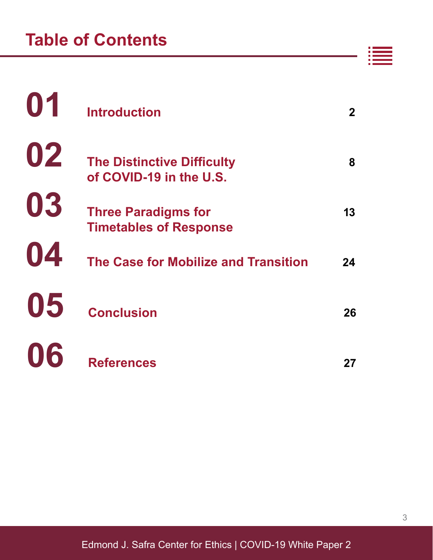|    | <b>Introduction</b>                                          |    |
|----|--------------------------------------------------------------|----|
| 02 | <b>The Distinctive Difficulty</b><br>of COVID-19 in the U.S. | 8  |
| 03 | <b>Three Paradigms for</b><br><b>Timetables of Response</b>  |    |
| 04 | The Case for Mobilize and Transition                         | 24 |
| 05 | <b>Conclusion</b>                                            | 26 |
| 06 | <b>References</b>                                            | 27 |

Edmond J. Safra Center for Ethics | COVID-19 White Paper 2

H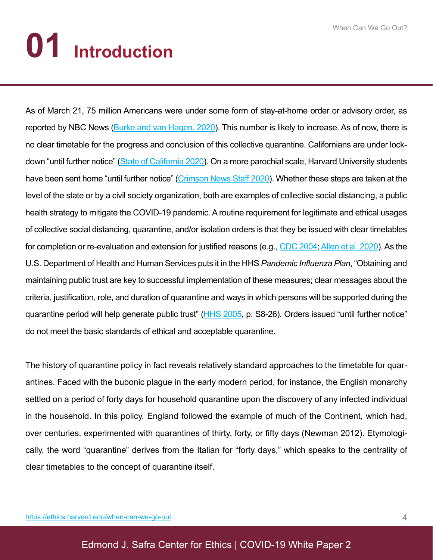# **01 Introduction**

As of March 21, 75 million Americans were under some form of stay-at-home order or advisory order, as reported by NBC News (Burke and van Hagen, 2020). This number is likely to increase. As of now, there is no clear timetable for the progress and conclusion of this collective quarantine. Californians are under lockdown "until further notice" (State of California 2020). On a more parochial scale, Harvard University students have been sent home "until further notice" (Crimson News Staff 2020). Whether these steps are taken at the level of the state or by a civil society organization, both are examples of collective social distancing, a public health strategy to mitigate the COVID-19 pandemic. A routine requirement for legitimate and ethical usages of collective social distancing, quarantine, and/or isolation orders is that they be issued with clear timetables for completion or re-evaluation and extension for justified reasons (e.g., CDC 2004; Allen et al. 2020). As the U.S. Department of Health and Human Services puts it in the HHS *Pandemic Influenza Plan*, "Obtaining and maintaining public trust are key to successful implementation of these measures; clear messages about the criteria, justification, role, and duration of quarantine and ways in which persons will be supported during the quarantine period will help generate public trust" (HHS 2005, p. S8-26). Orders issued "until further notice" do not meet the basic standards of ethical and acceptable quarantine.

The history of quarantine policy in fact reveals relatively standard approaches to the timetable for quarantines. Faced with the bubonic plague in the early modern period, for instance, the English monarchy settled on a period of forty days for household quarantine upon the discovery of any infected individual in the household. In this policy, England followed the example of much of the Continent, which had, over centuries, experimented with quarantines of thirty, forty, or fifty days (Newman 2012). Etymologically, the word "quarantine" derives from the Italian for "forty days," which speaks to the centrality of clear timetables to the concept of quarantine itself.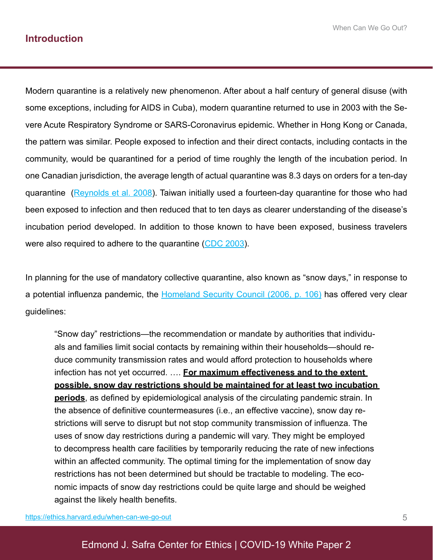Modern quarantine is a relatively new phenomenon. After about a half century of general disuse (with some exceptions, including for AIDS in Cuba), modern quarantine returned to use in 2003 with the Severe Acute Respiratory Syndrome or SARS-Coronavirus epidemic. Whether in Hong Kong or Canada, the pattern was similar. People exposed to infection and their direct contacts, including contacts in the community, would be quarantined for a period of time roughly the length of the incubation period. In one Canadian jurisdiction, the average length of actual quarantine was 8.3 days on orders for a ten-day quarantine (Reynolds et al. 2008). Taiwan initially used a fourteen-day quarantine for those who had been exposed to infection and then reduced that to ten days as clearer understanding of the disease's incubation period developed. In addition to those known to have been exposed, business travelers were also required to adhere to the quarantine (CDC 2003).

In planning for the use of mandatory collective quarantine, also known as "snow days," in response to a potential influenza pandemic, the Homeland Security Council (2006, p. 106) has offered very clear guidelines:

"Snow day" restrictions—the recommendation or mandate by authorities that individuals and families limit social contacts by remaining within their households—should reduce community transmission rates and would afford protection to households where infection has not yet occurred. …. **For maximum effectiveness and to the extent possible, snow day restrictions should be maintained for at least two incubation periods**, as defined by epidemiological analysis of the circulating pandemic strain. In the absence of definitive countermeasures (i.e., an effective vaccine), snow day restrictions will serve to disrupt but not stop community transmission of influenza. The uses of snow day restrictions during a pandemic will vary. They might be employed to decompress health care facilities by temporarily reducing the rate of new infections within an affected community. The optimal timing for the implementation of snow day restrictions has not been determined but should be tractable to modeling. The economic impacts of snow day restrictions could be quite large and should be weighed against the likely health benefits.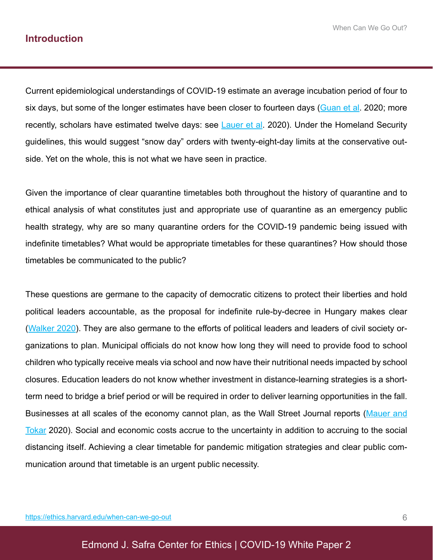Current epidemiological understandings of COVID-19 estimate an average incubation period of four to six days, but some of the longer estimates have been closer to fourteen days (Guan et al. 2020; more recently, scholars have estimated twelve days: see Lauer et al. 2020). Under the Homeland Security guidelines, this would suggest "snow day" orders with twenty-eight-day limits at the conservative outside. Yet on the whole, this is not what we have seen in practice.

Given the importance of clear quarantine timetables both throughout the history of quarantine and to ethical analysis of what constitutes just and appropriate use of quarantine as an emergency public health strategy, why are so many quarantine orders for the COVID-19 pandemic being issued with indefinite timetables? What would be appropriate timetables for these quarantines? How should those timetables be communicated to the public?

These questions are germane to the capacity of democratic citizens to protect their liberties and hold political leaders accountable, as the proposal for indefinite rule-by-decree in Hungary makes clear (Walker 2020). They are also germane to the efforts of political leaders and leaders of civil society organizations to plan. Municipal officials do not know how long they will need to provide food to school children who typically receive meals via school and now have their nutritional needs impacted by school closures. Education leaders do not know whether investment in distance-learning strategies is a shortterm need to bridge a brief period or will be required in order to deliver learning opportunities in the fall. Businesses at all scales of the economy cannot plan, as the Wall Street Journal reports (Mauer and Tokar 2020). Social and economic costs accrue to the uncertainty in addition to accruing to the social distancing itself. Achieving a clear timetable for pandemic mitigation strategies and clear public communication around that timetable is an urgent public necessity.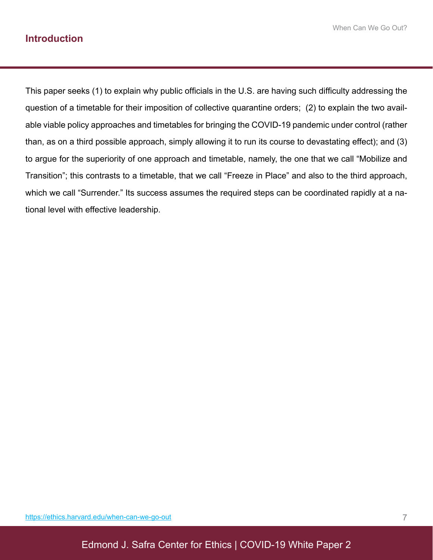This paper seeks (1) to explain why public officials in the U.S. are having such difficulty addressing the question of a timetable for their imposition of collective quarantine orders; (2) to explain the two available viable policy approaches and timetables for bringing the COVID-19 pandemic under control (rather than, as on a third possible approach, simply allowing it to run its course to devastating effect); and (3) to argue for the superiority of one approach and timetable, namely, the one that we call "Mobilize and Transition"; this contrasts to a timetable, that we call "Freeze in Place" and also to the third approach, which we call "Surrender." Its success assumes the required steps can be coordinated rapidly at a national level with effective leadership.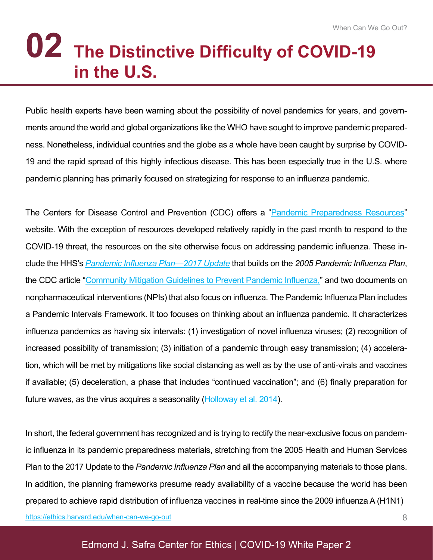## **The Distinctive Difficulty of COVID-19 02 in the U.S.**

Public health experts have been warning about the possibility of novel pandemics for years, and governments around the world and global organizations like the WHO have sought to improve pandemic preparedness. Nonetheless, individual countries and the globe as a whole have been caught by surprise by COVID-19 and the rapid spread of this highly infectious disease. This has been especially true in the U.S. where pandemic planning has primarily focused on strategizing for response to an influenza pandemic.

The Centers for Disease Control and Prevention (CDC) offers a "Pandemic Preparedness Resources" website. With the exception of resources developed relatively rapidly in the past month to respond to the COVID-19 threat, the resources on the site otherwise focus on addressing pandemic influenza. These include the HHS's *Pandemic Influenza Plan—2017 Update* that builds on the *2005 Pandemic Influenza Plan*, the CDC article "Community Mitigation Guidelines to Prevent Pandemic Influenza," and two documents on nonpharmaceutical interventions (NPIs) that also focus on influenza. The Pandemic Influenza Plan includes a Pandemic Intervals Framework. It too focuses on thinking about an influenza pandemic. It characterizes influenza pandemics as having six intervals: (1) investigation of novel influenza viruses; (2) recognition of increased possibility of transmission; (3) initiation of a pandemic through easy transmission; (4) acceleration, which will be met by mitigations like social distancing as well as by the use of anti-virals and vaccines if available; (5) deceleration, a phase that includes "continued vaccination"; and (6) finally preparation for future waves, as the virus acquires a seasonality (Holloway et al. 2014).

In short, the federal government has recognized and is trying to rectify the near-exclusive focus on pandemic influenza in its pandemic preparedness materials, stretching from the 2005 Health and Human Services Plan to the 2017 Update to the *Pandemic Influenza Plan* and all the accompanying materials to those plans. In addition, the planning frameworks presume ready availability of a vaccine because the world has been prepared to achieve rapid distribution of influenza vaccines in real-time since the 2009 influenza A (H1N1) https://ethics.harvard.edu/when-can-we-go-out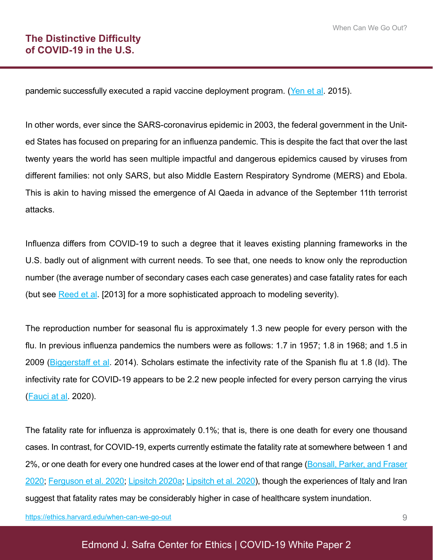pandemic successfully executed a rapid vaccine deployment program. (Yen et al. 2015).

In other words, ever since the SARS-coronavirus epidemic in 2003, the federal government in the United States has focused on preparing for an influenza pandemic. This is despite the fact that over the last twenty years the world has seen multiple impactful and dangerous epidemics caused by viruses from different families: not only SARS, but also Middle Eastern Respiratory Syndrome (MERS) and Ebola. This is akin to having missed the emergence of Al Qaeda in advance of the September 11th terrorist attacks.

Influenza differs from COVID-19 to such a degree that it leaves existing planning frameworks in the U.S. badly out of alignment with current needs. To see that, one needs to know only the reproduction number (the average number of secondary cases each case generates) and case fatality rates for each (but see Reed et al. [2013] for a more sophisticated approach to modeling severity).

The reproduction number for seasonal flu is approximately 1.3 new people for every person with the flu. In previous influenza pandemics the numbers were as follows: 1.7 in 1957; 1.8 in 1968; and 1.5 in 2009 (Biggerstaff et al. 2014). Scholars estimate the infectivity rate of the Spanish flu at 1.8 (Id). The infectivity rate for COVID-19 appears to be 2.2 new people infected for every person carrying the virus (Fauci at al. 2020).

The fatality rate for influenza is approximately 0.1%; that is, there is one death for every one thousand cases. In contrast, for COVID-19, experts currently estimate the fatality rate at somewhere between 1 and 2%, or one death for every one hundred cases at the lower end of that range (Bonsall, Parker, and Fraser 2020; Ferguson et al. 2020; Lipsitch 2020a; Lipsitch et al. 2020), though the experiences of Italy and Iran suggest that fatality rates may be considerably higher in case of healthcare system inundation.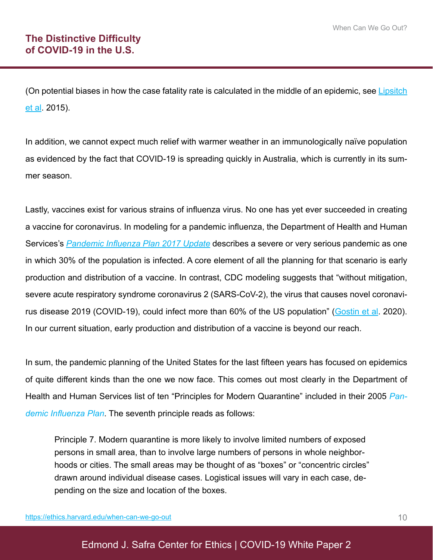(On potential biases in how the case fatality rate is calculated in the middle of an epidemic, see Lipsitch et al. 2015).

In addition, we cannot expect much relief with warmer weather in an immunologically naïve population as evidenced by the fact that COVID-19 is spreading quickly in Australia, which is currently in its summer season.

Lastly, vaccines exist for various strains of influenza virus. No one has yet ever succeeded in creating a vaccine for coronavirus. In modeling for a pandemic influenza, the Department of Health and Human Services's *Pandemic Influenza Plan 2017 Update* describes a severe or very serious pandemic as one in which 30% of the population is infected. A core element of all the planning for that scenario is early production and distribution of a vaccine. In contrast, CDC modeling suggests that "without mitigation, severe acute respiratory syndrome coronavirus 2 (SARS-CoV-2), the virus that causes novel coronavirus disease 2019 (COVID-19), could infect more than 60% of the US population" (Gostin et al. 2020). In our current situation, early production and distribution of a vaccine is beyond our reach.

In sum, the pandemic planning of the United States for the last fifteen years has focused on epidemics of quite different kinds than the one we now face. This comes out most clearly in the Department of Health and Human Services list of ten "Principles for Modern Quarantine" included in their 2005 *Pandemic Influenza Plan*. The seventh principle reads as follows:

Principle 7. Modern quarantine is more likely to involve limited numbers of exposed persons in small area, than to involve large numbers of persons in whole neighborhoods or cities. The small areas may be thought of as "boxes" or "concentric circles" drawn around individual disease cases. Logistical issues will vary in each case, depending on the size and location of the boxes.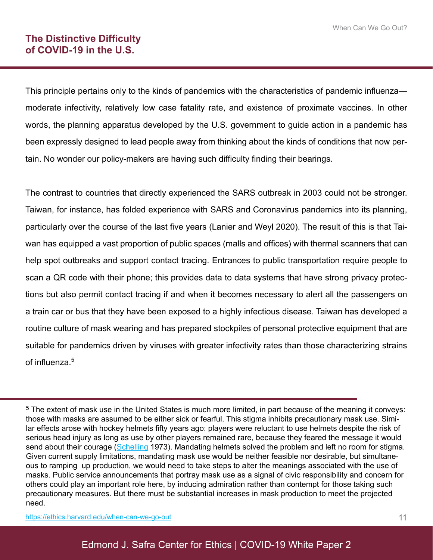This principle pertains only to the kinds of pandemics with the characteristics of pandemic influenza moderate infectivity, relatively low case fatality rate, and existence of proximate vaccines. In other words, the planning apparatus developed by the U.S. government to guide action in a pandemic has been expressly designed to lead people away from thinking about the kinds of conditions that now pertain. No wonder our policy-makers are having such difficulty finding their bearings.

The contrast to countries that directly experienced the SARS outbreak in 2003 could not be stronger. Taiwan, for instance, has folded experience with SARS and Coronavirus pandemics into its planning, particularly over the course of the last five years (Lanier and Weyl 2020). The result of this is that Taiwan has equipped a vast proportion of public spaces (malls and offices) with thermal scanners that can help spot outbreaks and support contact tracing. Entrances to public transportation require people to scan a QR code with their phone; this provides data to data systems that have strong privacy protections but also permit contact tracing if and when it becomes necessary to alert all the passengers on a train car or bus that they have been exposed to a highly infectious disease. Taiwan has developed a routine culture of mask wearing and has prepared stockpiles of personal protective equipment that are suitable for pandemics driven by viruses with greater infectivity rates than those characterizing strains of influenza.<sup>5</sup>

<sup>5</sup> The extent of mask use in the United States is much more limited, in part because of the meaning it conveys: those with masks are assumed to be either sick or fearful. This stigma inhibits precautionary mask use. Similar effects arose with hockey helmets fifty years ago: players were reluctant to use helmets despite the risk of serious head injury as long as use by other players remained rare, because they feared the message it would send about their courage (Schelling 1973). Mandating helmets solved the problem and left no room for stigma. Given current supply limitations, mandating mask use would be neither feasible nor desirable, but simultaneous to ramping up production, we would need to take steps to alter the meanings associated with the use of masks. Public service announcements that portray mask use as a signal of civic responsibility and concern for others could play an important role here, by inducing admiration rather than contempt for those taking such precautionary measures. But there must be substantial increases in mask production to meet the projected need.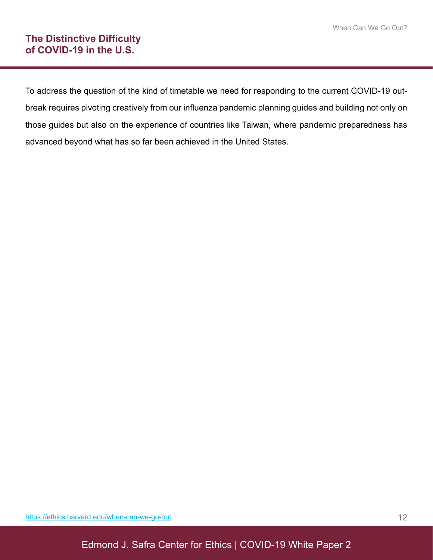To address the question of the kind of timetable we need for responding to the current COVID-19 outbreak requires pivoting creatively from our influenza pandemic planning guides and building not only on those guides but also on the experience of countries like Taiwan, where pandemic preparedness has advanced beyond what has so far been achieved in the United States.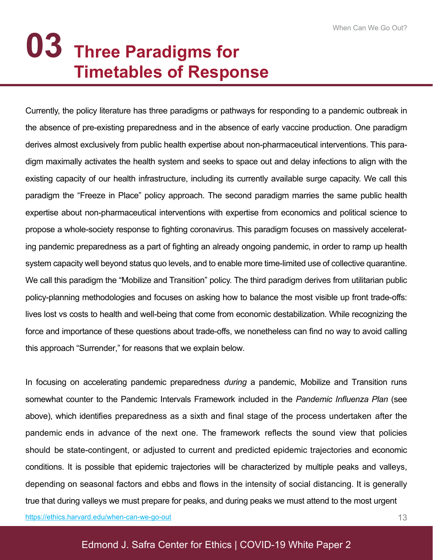### **Three Paradigms for 03 Timetables of Response**

Currently, the policy literature has three paradigms or pathways for responding to a pandemic outbreak in the absence of pre-existing preparedness and in the absence of early vaccine production. One paradigm derives almost exclusively from public health expertise about non-pharmaceutical interventions. This paradigm maximally activates the health system and seeks to space out and delay infections to align with the existing capacity of our health infrastructure, including its currently available surge capacity. We call this paradigm the "Freeze in Place" policy approach. The second paradigm marries the same public health expertise about non-pharmaceutical interventions with expertise from economics and political science to propose a whole-society response to fighting coronavirus. This paradigm focuses on massively accelerating pandemic preparedness as a part of fighting an already ongoing pandemic, in order to ramp up health system capacity well beyond status quo levels, and to enable more time-limited use of collective quarantine. We call this paradigm the "Mobilize and Transition" policy. The third paradigm derives from utilitarian public policy-planning methodologies and focuses on asking how to balance the most visible up front trade-offs: lives lost vs costs to health and well-being that come from economic destabilization. While recognizing the force and importance of these questions about trade-offs, we nonetheless can find no way to avoid calling this approach "Surrender," for reasons that we explain below.

In focusing on accelerating pandemic preparedness *during* a pandemic, Mobilize and Transition runs somewhat counter to the Pandemic Intervals Framework included in the *Pandemic Influenza Plan* (see above), which identifies preparedness as a sixth and final stage of the process undertaken after the pandemic ends in advance of the next one. The framework reflects the sound view that policies should be state-contingent, or adjusted to current and predicted epidemic trajectories and economic conditions. It is possible that epidemic trajectories will be characterized by multiple peaks and valleys, depending on seasonal factors and ebbs and flows in the intensity of social distancing. It is generally true that during valleys we must prepare for peaks, and during peaks we must attend to the most urgent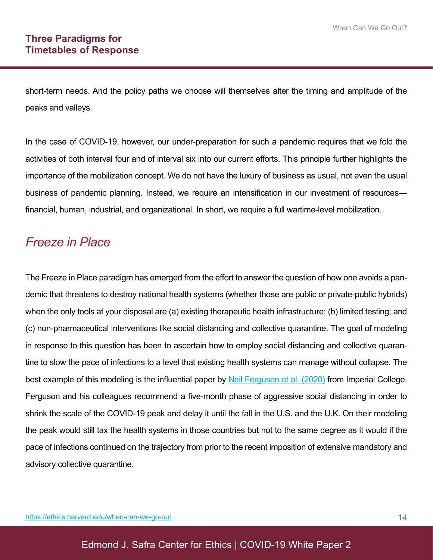short-term needs. And the policy paths we choose will themselves alter the timing and amplitude of the peaks and valleys.

In the case of COVID-19, however, our under-preparation for such a pandemic requires that we fold the activities of both interval four and of interval six into our current efforts. This principle further highlights the importance of the mobilization concept. We do not have the luxury of business as usual, not even the usual business of pandemic planning. Instead, we require an intensification in our investment of resources financial, human, industrial, and organizational. In short, we require a full wartime-level mobilization.

### *Freeze in Place*

The Freeze in Place paradigm has emerged from the effort to answer the question of how one avoids a pandemic that threatens to destroy national health systems (whether those are public or private-public hybrids) when the only tools at your disposal are (a) existing therapeutic health infrastructure; (b) limited testing; and (c) non-pharmaceutical interventions like social distancing and collective quarantine. The goal of modeling in response to this question has been to ascertain how to employ social distancing and collective quarantine to slow the pace of infections to a level that existing health systems can manage without collapse. The best example of this modeling is the influential paper by Neil Ferguson et al. (2020) from Imperial College. Ferguson and his colleagues recommend a five-month phase of aggressive social distancing in order to shrink the scale of the COVID-19 peak and delay it until the fall in the U.S. and the U.K. On their modeling the peak would still tax the health systems in those countries but not to the same degree as it would if the pace of infections continued on the trajectory from prior to the recent imposition of extensive mandatory and advisory collective quarantine.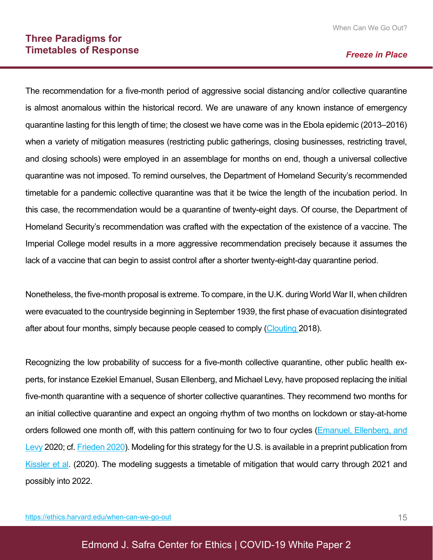#### *Freeze in Place*

The recommendation for a five-month period of aggressive social distancing and/or collective quarantine is almost anomalous within the historical record. We are unaware of any known instance of emergency quarantine lasting for this length of time; the closest we have come was in the Ebola epidemic (2013–2016) when a variety of mitigation measures (restricting public gatherings, closing businesses, restricting travel, and closing schools) were employed in an assemblage for months on end, though a universal collective quarantine was not imposed. To remind ourselves, the Department of Homeland Security's recommended timetable for a pandemic collective quarantine was that it be twice the length of the incubation period. In this case, the recommendation would be a quarantine of twenty-eight days. Of course, the Department of Homeland Security's recommendation was crafted with the expectation of the existence of a vaccine. The Imperial College model results in a more aggressive recommendation precisely because it assumes the lack of a vaccine that can begin to assist control after a shorter twenty-eight-day quarantine period.

Nonetheless, the five-month proposal is extreme. To compare, in the U.K. during World War II, when children were evacuated to the countryside beginning in September 1939, the first phase of evacuation disintegrated after about four months, simply because people ceased to comply (Clouting 2018).

Recognizing the low probability of success for a five-month collective quarantine, other public health experts, for instance Ezekiel Emanuel, Susan Ellenberg, and Michael Levy, have proposed replacing the initial five-month quarantine with a sequence of shorter collective quarantines. They recommend two months for an initial collective quarantine and expect an ongoing rhythm of two months on lockdown or stay-at-home orders followed one month off, with this pattern continuing for two to four cycles (Emanuel, Ellenberg, and Levy 2020; cf. Frieden 2020). Modeling for this strategy for the U.S. is available in a preprint publication from Kissler et al. (2020). The modeling suggests a timetable of mitigation that would carry through 2021 and possibly into 2022.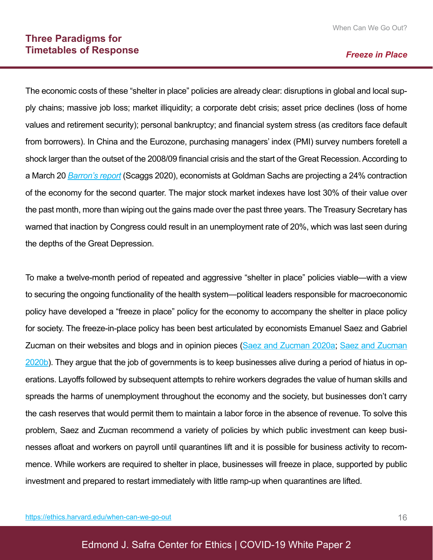#### *Freeze in Place*

The economic costs of these "shelter in place" policies are already clear: disruptions in global and local supply chains; massive job loss; market illiquidity; a corporate debt crisis; asset price declines (loss of home values and retirement security); personal bankruptcy; and financial system stress (as creditors face default from borrowers). In China and the Eurozone, purchasing managers' index (PMI) survey numbers foretell a shock larger than the outset of the 2008/09 financial crisis and the start of the Great Recession. According to a March 20 *Barron's report* (Scaggs 2020), economists at Goldman Sachs are projecting a 24% contraction of the economy for the second quarter. The major stock market indexes have lost 30% of their value over the past month, more than wiping out the gains made over the past three years. The Treasury Secretary has warned that inaction by Congress could result in an unemployment rate of 20%, which was last seen during the depths of the Great Depression.

To make a twelve-month period of repeated and aggressive "shelter in place" policies viable—with a view to securing the ongoing functionality of the health system—political leaders responsible for macroeconomic policy have developed a "freeze in place" policy for the economy to accompany the shelter in place policy for society. The freeze-in-place policy has been best articulated by economists Emanuel Saez and Gabriel Zucman on their websites and blogs and in opinion pieces (Saez and Zucman 2020a, Saez and Zucman 2020b). They argue that the job of governments is to keep businesses alive during a period of hiatus in operations. Layoffs followed by subsequent attempts to rehire workers degrades the value of human skills and spreads the harms of unemployment throughout the economy and the society, but businesses don't carry the cash reserves that would permit them to maintain a labor force in the absence of revenue. To solve this problem, Saez and Zucman recommend a variety of policies by which public investment can keep businesses afloat and workers on payroll until quarantines lift and it is possible for business activity to recommence. While workers are required to shelter in place, businesses will freeze in place, supported by public investment and prepared to restart immediately with little ramp-up when quarantines are lifted.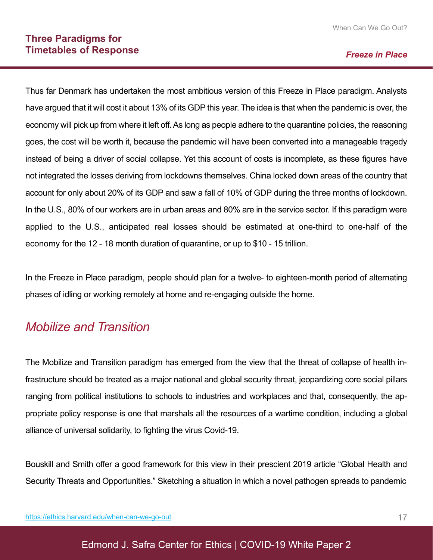#### *Freeze in Place*

Thus far Denmark has undertaken the most ambitious version of this Freeze in Place paradigm. Analysts have argued that it will cost it about 13% of its GDP this year. The idea is that when the pandemic is over, the economy will pick up from where it left off.As long as people adhere to the quarantine policies, the reasoning goes, the cost will be worth it, because the pandemic will have been converted into a manageable tragedy instead of being a driver of social collapse. Yet this account of costs is incomplete, as these figures have not integrated the losses deriving from lockdowns themselves. China locked down areas of the country that account for only about 20% of its GDP and saw a fall of 10% of GDP during the three months of lockdown. In the U.S., 80% of our workers are in urban areas and 80% are in the service sector. If this paradigm were applied to the U.S., anticipated real losses should be estimated at one-third to one-half of the economy for the 12 - 18 month duration of quarantine, or up to \$10 - 15 trillion.

In the Freeze in Place paradigm, people should plan for a twelve- to eighteen-month period of alternating phases of idling or working remotely at home and re-engaging outside the home.

### *Mobilize and Transition*

The Mobilize and Transition paradigm has emerged from the view that the threat of collapse of health infrastructure should be treated as a major national and global security threat, jeopardizing core social pillars ranging from political institutions to schools to industries and workplaces and that, consequently, the appropriate policy response is one that marshals all the resources of a wartime condition, including a global alliance of universal solidarity, to fighting the virus Covid-19.

Bouskill and Smith offer a good framework for this view in their prescient 2019 article "Global Health and Security Threats and Opportunities." Sketching a situation in which a novel pathogen spreads to pandemic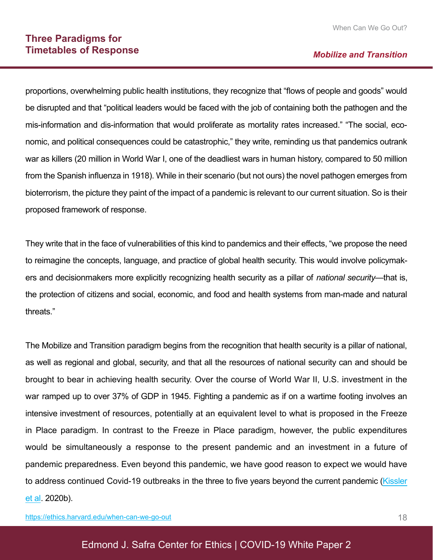#### *Mobilize and Transition*

proportions, overwhelming public health institutions, they recognize that "flows of people and goods" would be disrupted and that "political leaders would be faced with the job of containing both the pathogen and the mis-information and dis-information that would proliferate as mortality rates increased." "The social, economic, and political consequences could be catastrophic," they write, reminding us that pandemics outrank war as killers (20 million in World War I, one of the deadliest wars in human history, compared to 50 million from the Spanish influenza in 1918). While in their scenario (but not ours) the novel pathogen emerges from bioterrorism, the picture they paint of the impact of a pandemic is relevant to our current situation. So is their proposed framework of response.

They write that in the face of vulnerabilities of this kind to pandemics and their effects, "we propose the need to reimagine the concepts, language, and practice of global health security. This would involve policymakers and decisionmakers more explicitly recognizing health security as a pillar of *national security*—that is, the protection of citizens and social, economic, and food and health systems from man-made and natural threats."

The Mobilize and Transition paradigm begins from the recognition that health security is a pillar of national, as well as regional and global, security, and that all the resources of national security can and should be brought to bear in achieving health security. Over the course of World War II, U.S. investment in the war ramped up to over 37% of GDP in 1945. Fighting a pandemic as if on a wartime footing involves an intensive investment of resources, potentially at an equivalent level to what is proposed in the Freeze in Place paradigm. In contrast to the Freeze in Place paradigm, however, the public expenditures would be simultaneously a response to the present pandemic and an investment in a future of pandemic preparedness. Even beyond this pandemic, we have good reason to expect we would have to address continued Covid-19 outbreaks in the three to five years beyond the current pandemic (Kissler et al. 2020b).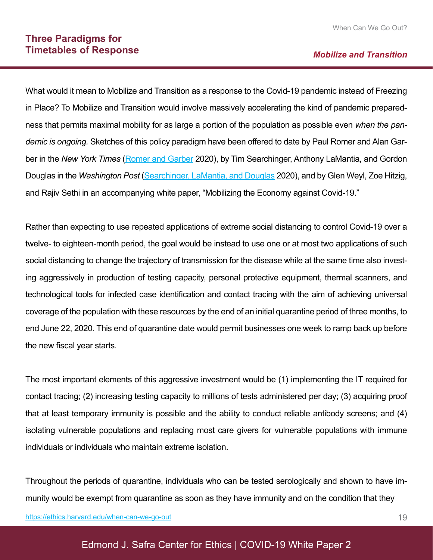What would it mean to Mobilize and Transition as a response to the Covid-19 pandemic instead of Freezing in Place? To Mobilize and Transition would involve massively accelerating the kind of pandemic preparedness that permits maximal mobility for as large a portion of the population as possible even *when the pandemic is ongoing.* Sketches of this policy paradigm have been offered to date by Paul Romer and Alan Garber in the *New York Times* (Romer and Garber 2020), by Tim Searchinger, Anthony LaMantia, and Gordon Douglas in the *Washington Post* (Searchinger, LaMantia, and Douglas 2020), and by Glen Weyl, Zoe Hitzig, and Rajiv Sethi in an accompanying white paper, "Mobilizing the Economy against Covid-19."

Rather than expecting to use repeated applications of extreme social distancing to control Covid-19 over a twelve- to eighteen-month period, the goal would be instead to use one or at most two applications of such social distancing to change the trajectory of transmission for the disease while at the same time also investing aggressively in production of testing capacity, personal protective equipment, thermal scanners, and technological tools for infected case identification and contact tracing with the aim of achieving universal coverage of the population with these resources by the end of an initial quarantine period of three months, to end June 22, 2020. This end of quarantine date would permit businesses one week to ramp back up before the new fiscal year starts.

The most important elements of this aggressive investment would be (1) implementing the IT required for contact tracing; (2) increasing testing capacity to millions of tests administered per day; (3) acquiring proof that at least temporary immunity is possible and the ability to conduct reliable antibody screens; and (4) isolating vulnerable populations and replacing most care givers for vulnerable populations with immune individuals or individuals who maintain extreme isolation.

Throughout the periods of quarantine, individuals who can be tested serologically and shown to have immunity would be exempt from quarantine as soon as they have immunity and on the condition that they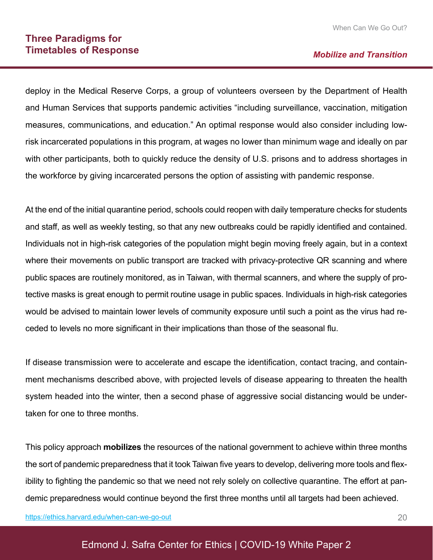#### **Three Paradigms for Timetables of Response**

#### *Mobilize and Transition*

deploy in the Medical Reserve Corps, a group of volunteers overseen by the Department of Health and Human Services that supports pandemic activities "including surveillance, vaccination, mitigation measures, communications, and education." An optimal response would also consider including lowrisk incarcerated populations in this program, at wages no lower than minimum wage and ideally on par with other participants, both to quickly reduce the density of U.S. prisons and to address shortages in the workforce by giving incarcerated persons the option of assisting with pandemic response.

At the end of the initial quarantine period, schools could reopen with daily temperature checks for students and staff, as well as weekly testing, so that any new outbreaks could be rapidly identified and contained. Individuals not in high-risk categories of the population might begin moving freely again, but in a context where their movements on public transport are tracked with privacy-protective QR scanning and where public spaces are routinely monitored, as in Taiwan, with thermal scanners, and where the supply of protective masks is great enough to permit routine usage in public spaces. Individuals in high-risk categories would be advised to maintain lower levels of community exposure until such a point as the virus had receded to levels no more significant in their implications than those of the seasonal flu.

If disease transmission were to accelerate and escape the identification, contact tracing, and containment mechanisms described above, with projected levels of disease appearing to threaten the health system headed into the winter, then a second phase of aggressive social distancing would be undertaken for one to three months.

This policy approach **mobilizes** the resources of the national government to achieve within three months the sort of pandemic preparedness that it took Taiwan five years to develop, delivering more tools and flexibility to fighting the pandemic so that we need not rely solely on collective quarantine. The effort at pandemic preparedness would continue beyond the first three months until all targets had been achieved.

https://ethics.harvard.edu/when-can-we-go-out

#### Edmond J. Safra Center for Ethics | COVID-19 White Paper 2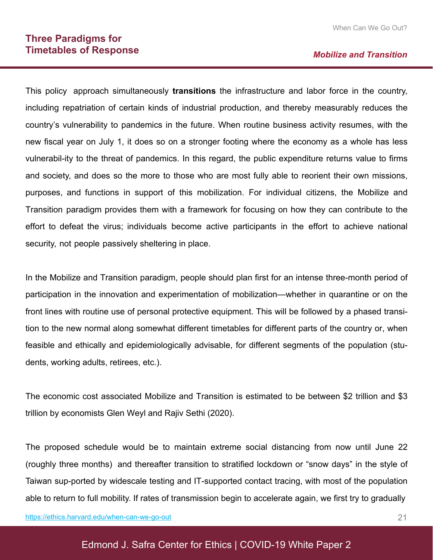#### **Three Paradigms for Timetables of Response**

#### *Mobilize and Transition*

This policy approach simultaneously **transitions** the infrastructure and labor force in the country, including repatriation of certain kinds of industrial production, and thereby measurably reduces the country's vulnerability to pandemics in the future. When routine business activity resumes, with the new fiscal year on July 1, it does so on a stronger footing where the economy as a whole has less vulnerabil-ity to the threat of pandemics. In this regard, the public expenditure returns value to firms and society, and does so the more to those who are most fully able to reorient their own missions, purposes, and functions in support of this mobilization. For individual citizens, the Mobilize and Transition paradigm provides them with a framework for focusing on how they can contribute to the effort to defeat the virus; individuals become active participants in the effort to achieve national security, not people passively sheltering in place.

In the Mobilize and Transition paradigm, people should plan first for an intense three-month period of participation in the innovation and experimentation of mobilization—whether in quarantine or on the front lines with routine use of personal protective equipment. This will be followed by a phased transition to the new normal along somewhat different timetables for different parts of the country or, when feasible and ethically and epidemiologically advisable, for different segments of the population (students, working adults, retirees, etc.).

The economic cost associated Mobilize and Transition is estimated to be between \$2 trillion and \$3 trillion by economists Glen Weyl and Rajiv Sethi (2020).

The proposed schedule would be to maintain extreme social distancing from now until June 22 (roughly three months) and thereafter transition to stratified lockdown or "snow days" in the style of Taiwan sup-ported by widescale testing and IT-supported contact tracing, with most of the population able to return to full mobility. If rates of transmission begin to accelerate again, we first try to gradually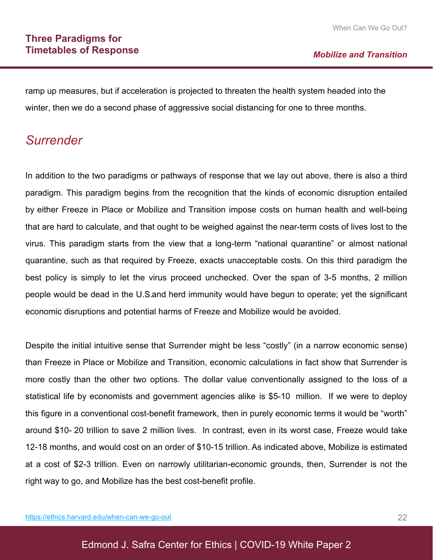ramp up measures, but if acceleration is projected to threaten the health system headed into the winter, then we do a second phase of aggressive social distancing for one to three months.

### *Surrender*

In addition to the two paradigms or pathways of response that we lay out above, there is also a third paradigm. This paradigm begins from the recognition that the kinds of economic disruption entailed by either Freeze in Place or Mobilize and Transition impose costs on human health and well-being that are hard to calculate, and that ought to be weighed against the near-term costs of lives lost to the virus. This paradigm starts from the view that a long-term "national quarantine" or almost national quarantine, such as that required by Freeze, exacts unacceptable costs. On this third paradigm the best policy is simply to let the virus proceed unchecked. Over the span of 3-5 months, 2 million people would be dead in the U.S. and herd immunity would have begun to operate; yet the significant economic disruptions and potential harms of Freeze and Mobilize would be avoided.

Despite the initial intuitive sense that Surrender might be less "costly" (in a narrow economic sense) than Freeze in Place or Mobilize and Transition, economic calculations in fact show that Surrender is more costly than the other two options. The dollar value conventionally assigned to the loss of a statistical life by economists and government agencies alike is \$5-10 million. If we were to deploy this figure in a conventional cost-benefit framework, then in purely economic terms it would be "worth" around \$10- 20 trillion to save 2 million lives. In contrast, even in its worst case, Freeze would take 12-18 months, and would cost on an order of \$10-15 trillion. As indicated above, Mobilize is estimated at a cost of \$2-3 trillion. Even on narrowly utilitarian-economic grounds, then, Surrender is not the right way to go, and Mobilize has the best cost-benefit profile.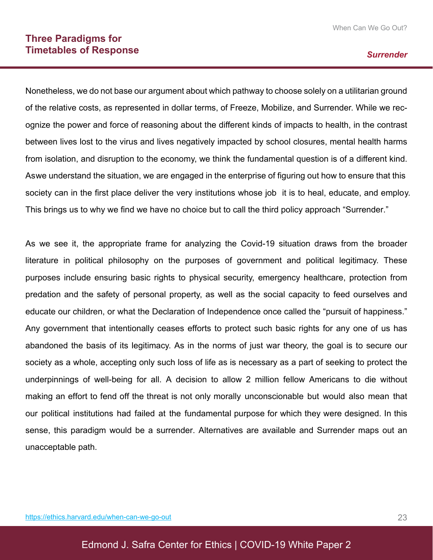#### *Surrender*

Nonetheless, we do not base our argument about which pathway to choose solely on a utilitarian ground of the relative costs, as represented in dollar terms, of Freeze, Mobilize, and Surrender. While we recognize the power and force of reasoning about the different kinds of impacts to health, in the contrast between lives lost to the virus and lives negatively impacted by school closures, mental health harms from isolation, and disruption to the economy, we think the fundamental question is of a different kind. As we understand the situation, we are engaged in the enterprise of figuring out how to ensure that this society can in the first place deliver the very institutions whose job it is to heal, educate, and employ. This brings us to why we find we have no choice but to call the third policy approach "Surrender."

As we see it, the appropriate frame for analyzing the Covid-19 situation draws from the broader literature in political philosophy on the purposes of government and political legitimacy. These purposes include ensuring basic rights to physical security, emergency healthcare, protection from predation and the safety of personal property, as well as the social capacity to feed ourselves and educate our children, or what the Declaration of Independence once called the "pursuit of happiness." Any government that intentionally ceases efforts to protect such basic rights for any one of us has abandoned the basis of its legitimacy. As in the norms of just war theory, the goal is to secure our society as a whole, accepting only such loss of life as is necessary as a part of seeking to protect the underpinnings of well-being for all. A decision to allow 2 million fellow Americans to die without making an effort to fend off the threat is not only morally unconscionable but would also mean that our political institutions had failed at the fundamental purpose for which they were designed. In this sense, this paradigm would be a surrender. Alternatives are available and Surrender maps out an unacceptable path.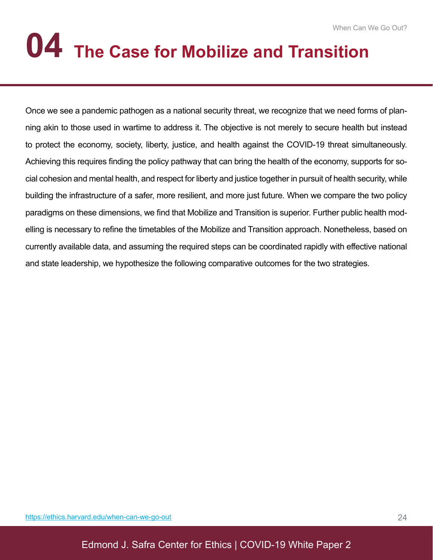# **04 The Case for Mobilize and Transition**

Once we see a pandemic pathogen as a national security threat, we recognize that we need forms of planning akin to those used in wartime to address it. The objective is not merely to secure health but instead to protect the economy, society, liberty, justice, and health against the COVID-19 threat simultaneously. Achieving this requires finding the policy pathway that can bring the health of the economy, supports for social cohesion and mental health, and respect for liberty and justice together in pursuit of health security, while building the infrastructure of a safer, more resilient, and more just future. When we compare the two policy paradigms on these dimensions, we find that Mobilize and Transition is superior. Further public health modelling is necessary to refine the timetables of the Mobilize and Transition approach. Nonetheless, based on currently available data, and assuming the required steps can be coordinated rapidly with effective national and state leadership, we hypothesize the following comparative outcomes for the two strategies.

Edmond J. Safra Center for Ethics | COVID-19 White Paper 2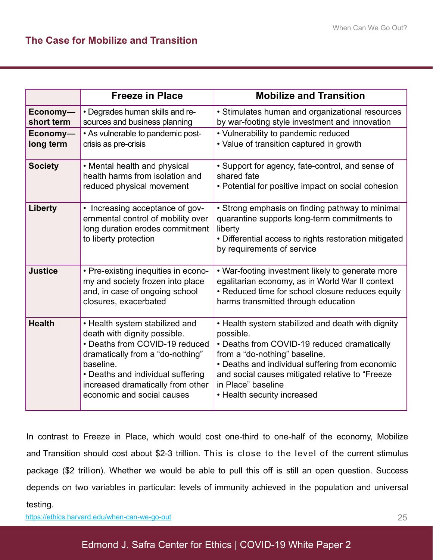|                        | <b>Freeze in Place</b>                                                                                                                                                                                                                                    | <b>Mobilize and Transition</b>                                                                                                                                                                                                                                                                            |  |
|------------------------|-----------------------------------------------------------------------------------------------------------------------------------------------------------------------------------------------------------------------------------------------------------|-----------------------------------------------------------------------------------------------------------------------------------------------------------------------------------------------------------------------------------------------------------------------------------------------------------|--|
| Economy-<br>short term | • Degrades human skills and re-<br>sources and business planning                                                                                                                                                                                          | • Stimulates human and organizational resources<br>by war-footing style investment and innovation                                                                                                                                                                                                         |  |
| Economy-<br>long term  | • As vulnerable to pandemic post-<br>crisis as pre-crisis                                                                                                                                                                                                 | • Vulnerability to pandemic reduced<br>• Value of transition captured in growth                                                                                                                                                                                                                           |  |
| <b>Society</b>         | • Mental health and physical<br>health harms from isolation and<br>reduced physical movement                                                                                                                                                              | • Support for agency, fate-control, and sense of<br>shared fate<br>• Potential for positive impact on social cohesion                                                                                                                                                                                     |  |
| Liberty                | • Increasing acceptance of gov-<br>ernmental control of mobility over<br>long duration erodes commitment<br>to liberty protection                                                                                                                         | • Strong emphasis on finding pathway to minimal<br>quarantine supports long-term commitments to<br>liberty<br>• Differential access to rights restoration mitigated<br>by requirements of service                                                                                                         |  |
| <b>Justice</b>         | • Pre-existing inequities in econo-<br>my and society frozen into place<br>and, in case of ongoing school<br>closures, exacerbated                                                                                                                        | • War-footing investment likely to generate more<br>egalitarian economy, as in World War II context<br>• Reduced time for school closure reduces equity<br>harms transmitted through education                                                                                                            |  |
| <b>Health</b>          | • Health system stabilized and<br>death with dignity possible.<br>• Deaths from COVID-19 reduced<br>dramatically from a "do-nothing"<br>baseline.<br>• Deaths and individual suffering<br>increased dramatically from other<br>economic and social causes | • Health system stabilized and death with dignity<br>possible.<br>• Deaths from COVID-19 reduced dramatically<br>from a "do-nothing" baseline.<br>• Deaths and individual suffering from economic<br>and social causes mitigated relative to "Freeze<br>in Place" baseline<br>• Health security increased |  |

In contrast to Freeze in Place, which would cost one-third to one-half of the economy, Mobilize and Transition should cost about \$2-3 trillion. This is close to the level of the current stimulus package (\$2 trillion). Whether we would be able to pull this off is still an open question. Success depends on two variables in particular: levels of immunity achieved in the population and universal testing.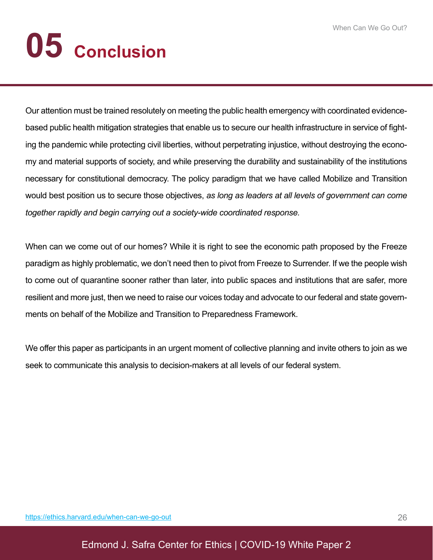# **05 Conclusion**

Our attention must be trained resolutely on meeting the public health emergency with coordinated evidencebased public health mitigation strategies that enable us to secure our health infrastructure in service of fighting the pandemic while protecting civil liberties, without perpetrating injustice, without destroying the economy and material supports of society, and while preserving the durability and sustainability of the institutions necessary for constitutional democracy. The policy paradigm that we have called Mobilize and Transition would best position us to secure those objectives, *as long as leaders at all levels of government can come together rapidly and begin carrying out a society-wide coordinated response.* 

When can we come out of our homes? While it is right to see the economic path proposed by the Freeze paradigm as highly problematic, we don't need then to pivot from Freeze to Surrender. If we the people wish to come out of quarantine sooner rather than later, into public spaces and institutions that are safer, more resilient and more just, then we need to raise our voices today and advocate to our federal and state governments on behalf of the Mobilize and Transition to Preparedness Framework.

We offer this paper as participants in an urgent moment of collective planning and invite others to join as we seek to communicate this analysis to decision-makers at all levels of our federal system.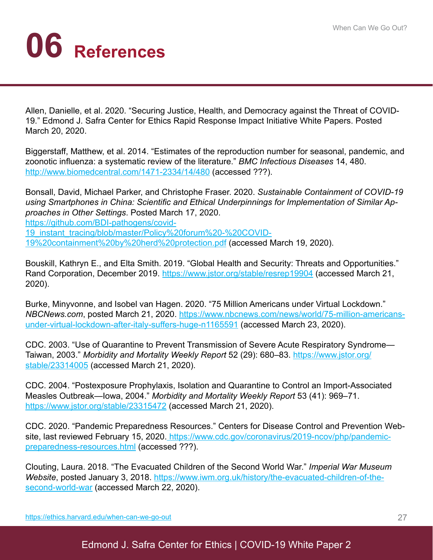## **06 References**

Allen, Danielle, et al. 2020. "Securing Justice, Health, and Democracy against the Threat of COVID-19." Edmond J. Safra Center for Ethics Rapid Response Impact Initiative White Papers. Posted March 20, 2020.

Biggerstaff, Matthew, et al. 2014. "Estimates of the reproduction number for seasonal, pandemic, and zoonotic influenza: a systematic review of the literature." *BMC Infectious Diseases* 14, 480. http://www.biomedcentral.com/1471-2334/14/480 (accessed ???).

Bonsall, David, Michael Parker, and Christophe Fraser. 2020. *Sustainable Containment of COVID-19 using Smartphones in China: Scientific and Ethical Underpinnings for Implementation of Similar Approaches in Other Settings*. Posted March 17, 2020. https://github.com/BDI-pathogens/covid-19\_instant\_tracing/blob/master/Policy%20forum%20-%20COVID-

19%20containment%20by%20herd%20protection.pdf (accessed March 19, 2020).

Bouskill, Kathryn E., and Elta Smith. 2019. "Global Health and Security: Threats and Opportunities." Rand Corporation, December 2019. https://www.jstor.org/stable/resrep19904 (accessed March 21, 2020).

Burke, Minyvonne, and Isobel van Hagen. 2020. "75 Million Americans under Virtual Lockdown." *NBCNews.com*, posted March 21, 2020. https://www.nbcnews.com/news/world/75-million-americansunder-virtual-lockdown-after-italy-suffers-huge-n1165591 (accessed March 23, 2020).

CDC. 2003. "Use of Quarantine to Prevent Transmission of Severe Acute Respiratory Syndrome— Taiwan, 2003." *Morbidity and Mortality Weekly Report* 52 (29): 680–83. https://www.jstor.org/ stable/23314005 (accessed March 21, 2020).

CDC. 2004. "Postexposure Prophylaxis, Isolation and Quarantine to Control an Import-Associated Measles Outbreak—Iowa, 2004." *Morbidity and Mortality Weekly Report* 53 (41): 969–71. https://www.jstor.org/stable/23315472 (accessed March 21, 2020).

CDC. 2020. "Pandemic Preparedness Resources." Centers for Disease Control and Prevention Website, last reviewed February 15, 2020. https://www.cdc.gov/coronavirus/2019-ncov/php/pandemicpreparedness-resources.html (accessed ???).

Clouting, Laura. 2018. "The Evacuated Children of the Second World War." *Imperial War Museum Website*, posted January 3, 2018. https://www.iwm.org.uk/history/the-evacuated-children-of-thesecond-world-war (accessed March 22, 2020).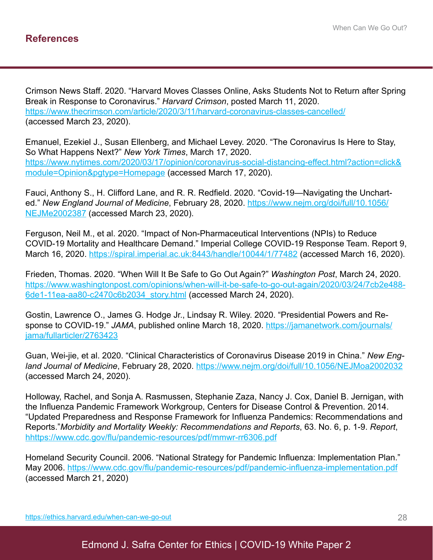Crimson News Staff. 2020. "Harvard Moves Classes Online, Asks Students Not to Return after Spring Break in Response to Coronavirus." *Harvard Crimson*, posted March 11, 2020. https://www.thecrimson.com/article/2020/3/11/harvard-coronavirus-classes-cancelled/ (accessed March 23, 2020).

Emanuel, Ezekiel J., Susan Ellenberg, and Michael Levey. 2020. "The Coronavirus Is Here to Stay, So What Happens Next?" *New York Times*, March 17, 2020. https://www.nytimes.com/2020/03/17/opinion/coronavirus-social-distancing-effect.html?action=click& module=Opinion&pgtype=Homepage (accessed March 17, 2020).

Fauci, Anthony S., H. Clifford Lane, and R. R. Redfield. 2020. "Covid-19—Navigating the Uncharted." *New England Journal of Medicine*, February 28, 2020. https://www.nejm.org/doi/full/10.1056/ NEJMe2002387 (accessed March 23, 2020).

Ferguson, Neil M., et al. 2020. "Impact of Non-Pharmaceutical Interventions (NPIs) to Reduce COVID-19 Mortality and Healthcare Demand." Imperial College COVID-19 Response Team. Report 9, March 16, 2020. https://spiral.imperial.ac.uk:8443/handle/10044/1/77482 (accessed March 16, 2020).

Frieden, Thomas. 2020. "When Will It Be Safe to Go Out Again?" *Washington Post*, March 24, 2020. https://www.washingtonpost.com/opinions/when-will-it-be-safe-to-go-out-again/2020/03/24/7cb2e488- 6de1-11ea-aa80-c2470c6b2034\_story.html (accessed March 24, 2020).

Gostin, Lawrence O., James G. Hodge Jr., Lindsay R. Wiley. 2020. "Presidential Powers and Response to COVID-19." JAMA, published online March 18, 2020. https://jamanetwork.com/journals/ jama/fullarticler/2763423

Guan, Wei-jie, et al. 2020. "Clinical Characteristics of Coronavirus Disease 2019 in China." *New England Journal of Medicine*, February 28, 2020. https://www.nejm.org/doi/full/10.1056/NEJMoa2002032 (accessed March 24, 2020).

Holloway, Rachel, and Sonja A. Rasmussen, Stephanie Zaza, Nancy J. Cox, Daniel B. Jernigan, with the Influenza Pandemic Framework Workgroup, Centers for Disease Control & Prevention. 2014. "Updated Preparedness and Response Framework for Influenza Pandemics: Recommendations and Reports."*Morbidity and Mortality Weekly: Recommendations and Reports*, 63. No. 6, p. 1-9. *Report*, hhttps://www.cdc.gov/flu/pandemic-resources/pdf/mmwr-rr6306.pdf

Homeland Security Council. 2006. "National Strategy for Pandemic Influenza: Implementation Plan." May 2006. https://www.cdc.gov/flu/pandemic-resources/pdf/pandemic-influenza-implementation.pdf (accessed March 21, 2020)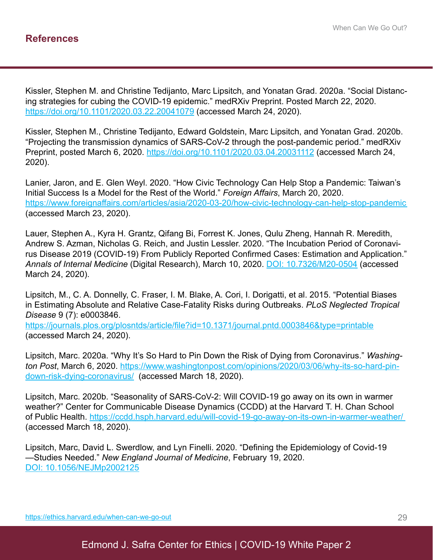Kissler, Stephen M. and Christine Tedijanto, Marc Lipsitch, and Yonatan Grad. 2020a. "Social Distancing strategies for cubing the COVID-19 epidemic." medRXiv Preprint. Posted March 22, 2020. https://doi.org/10.1101/2020.03.22.20041079 (accessed March 24, 2020).

Kissler, Stephen M., Christine Tedijanto, Edward Goldstein, Marc Lipsitch, and Yonatan Grad. 2020b. "Projecting the transmission dynamics of SARS-CoV-2 through the post-pandemic period." medRXiv Preprint, posted March 6, 2020. https://doi.org/10.1101/2020.03.04.20031112 (accessed March 24, 2020).

Lanier, Jaron, and E. Glen Weyl. 2020. "How Civic Technology Can Help Stop a Pandemic: Taiwan's Initial Success Is a Model for the Rest of the World." *Foreign Affairs*, March 20, 2020. https://www.foreignaffairs.com/articles/asia/2020-03-20/how-civic-technology-can-help-stop-pandemic (accessed March 23, 2020).

Lauer, Stephen A., Kyra H. Grantz, Qifang Bi, Forrest K. Jones, Qulu Zheng, Hannah R. Meredith, Andrew S. Azman, Nicholas G. Reich, and Justin Lessler. 2020. "The Incubation Period of Coronavirus Disease 2019 (COVID-19) From Publicly Reported Confirmed Cases: Estimation and Application." *Annals of Internal Medicine* (Digital Research), March 10, 2020. DOI: 10.7326/M20-0504 (accessed March 24, 2020).

Lipsitch, M., C. A. Donnelly, C. Fraser, I. M. Blake, A. Cori, I. Dorigatti, et al. 2015. "Potential Biases in Estimating Absolute and Relative Case-Fatality Risks during Outbreaks. *PLoS Neglected Tropical Disease* 9 (7): e0003846.

https://journals.plos.org/plosntds/article/file?id=10.1371/journal.pntd.0003846&type=printable (accessed March 24, 2020).

Lipsitch, Marc. 2020a. "Why It's So Hard to Pin Down the Risk of Dying from Coronavirus." *Washington Post*, March 6, 2020. https://www.washingtonpost.com/opinions/2020/03/06/why-its-so-hard-pindown-risk-dying-coronavirus/ (accessed March 18, 2020).

Lipsitch, Marc. 2020b. "Seasonality of SARS-CoV-2: Will COVID-19 go away on its own in warmer weather?" Center for Communicable Disease Dynamics (CCDD) at the Harvard T. H. Chan School of Public Health. https://ccdd.hsph.harvard.edu/will-covid-19-go-away-on-its-own-in-warmer-weather/ (accessed March 18, 2020).

Lipsitch, Marc, David L. Swerdlow, and Lyn Finelli. 2020. "Defining the Epidemiology of Covid-19 —Studies Needed." *New England Journal of Medicine*, February 19, 2020. DOI: 10.1056/NEJMp2002125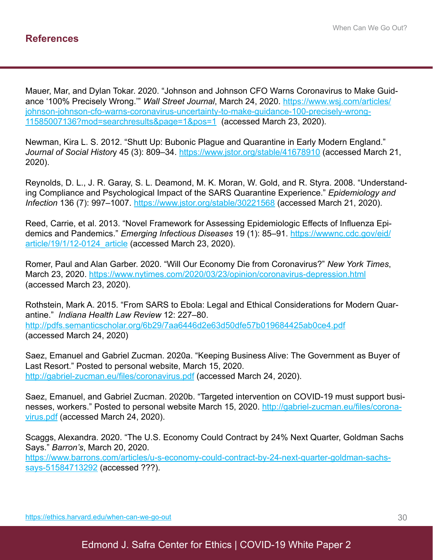Mauer, Mar, and Dylan Tokar. 2020. "Johnson and Johnson CFO Warns Coronavirus to Make Guidance '100% Precisely Wrong.'" *Wall Street Journal*, March 24, 2020. https://www.wsj.com/articles/ johnson-johnson-cfo-warns-coronavirus-uncertainty-to-make-guidance-100-precisely-wrong-11585007136?mod=searchresults&page=1&pos=1 (accessed March 23, 2020).

Newman, Kira L. S. 2012. "Shutt Up: Bubonic Plague and Quarantine in Early Modern England." *Journal of Social Histor*y 45 (3): 809–34. https://www.jstor.org/stable/41678910 (accessed March 21, 2020).

Reynolds, D. L., J. R. Garay, S. L. Deamond, M. K. Moran, W. Gold, and R. Styra. 2008. "Understanding Compliance and Psychological Impact of the SARS Quarantine Experience." *Epidemiology and Infection* 136 (7): 997–1007. https://www.jstor.org/stable/30221568 (accessed March 21, 2020).

Reed, Carrie, et al. 2013. "Novel Framework for Assessing Epidemiologic Effects of Influenza Epidemics and Pandemics." *Emerging Infectious Diseases* 19 (1): 85–91. https://wwwnc.cdc.gov/eid/ article/19/1/12-0124\_article (accessed March 23, 2020).

Romer, Paul and Alan Garber. 2020. "Will Our Economy Die from Coronavirus?" *New York Times*, March 23, 2020. https://www.nytimes.com/2020/03/23/opinion/coronavirus-depression.html (accessed March 23, 2020).

Rothstein, Mark A. 2015. "From SARS to Ebola: Legal and Ethical Considerations for Modern Quarantine." *Indiana Health Law Review* 12: 227–80. http://pdfs.semanticscholar.org/6b29/7aa6446d2e63d50dfe57b019684425ab0ce4.pdf (accessed March 24, 2020)

Saez, Emanuel and Gabriel Zucman. 2020a. "Keeping Business Alive: The Government as Buyer of Last Resort." Posted to personal website, March 15, 2020. http://gabriel-zucman.eu/files/coronavirus.pdf (accessed March 24, 2020).

Saez, Emanuel, and Gabriel Zucman. 2020b. "Targeted intervention on COVID-19 must support businesses, workers." Posted to personal website March 15, 2020. http://gabriel-zucman.eu/files/coronavirus.pdf (accessed March 24, 2020).

Scaggs, Alexandra. 2020. "The U.S. Economy Could Contract by 24% Next Quarter, Goldman Sachs Says." *Barron's*, March 20, 2020.

https://www.barrons.com/articles/u-s-economy-could-contract-by-24-next-quarter-goldman-sachssays-51584713292 (accessed ???).